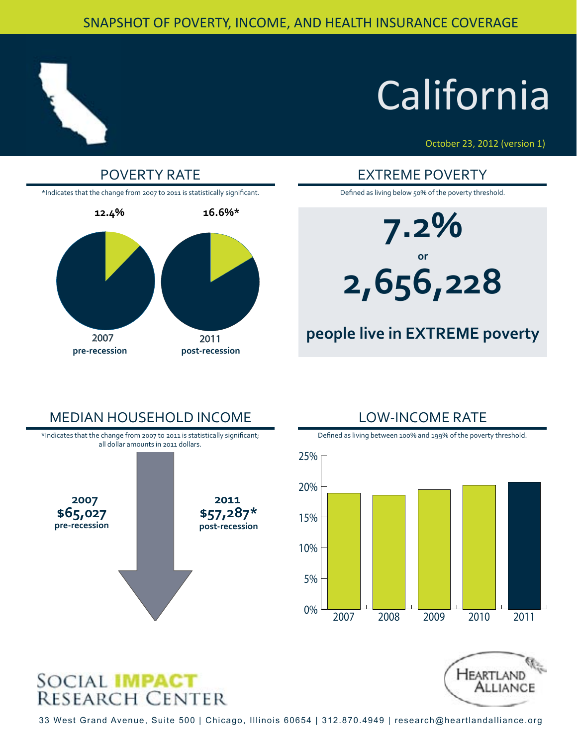#### SNAPSHOT OF POVERTY, INCOME, AND HEALTH INSURANCE COVERAGE



## **California**

October 23, 2012 (version 1)



**7.2% or 2,656,228**

#### **people live in EXTREME poverty**

### MEDIAN HOUSEHOLD INCOME **2007 2011 \$65,027**<br>pre-recession **\$57,287\* pre-recession post-recession** \*Indicates that the change from 2007 to 2011 is statistically significant; all dollar amounts in 2011 dollars.

# Defined as living between 100% and 199% of the poverty threshold.

LOW-INCOME RATE

0% 5% 10% 2007 2008 2009 2010 2011





33 West Grand Avenue, Suite 500 | Chicago, Illinois 60654 | 312.870.4949 | research@heartlandalliance.org

15%

20%

25%